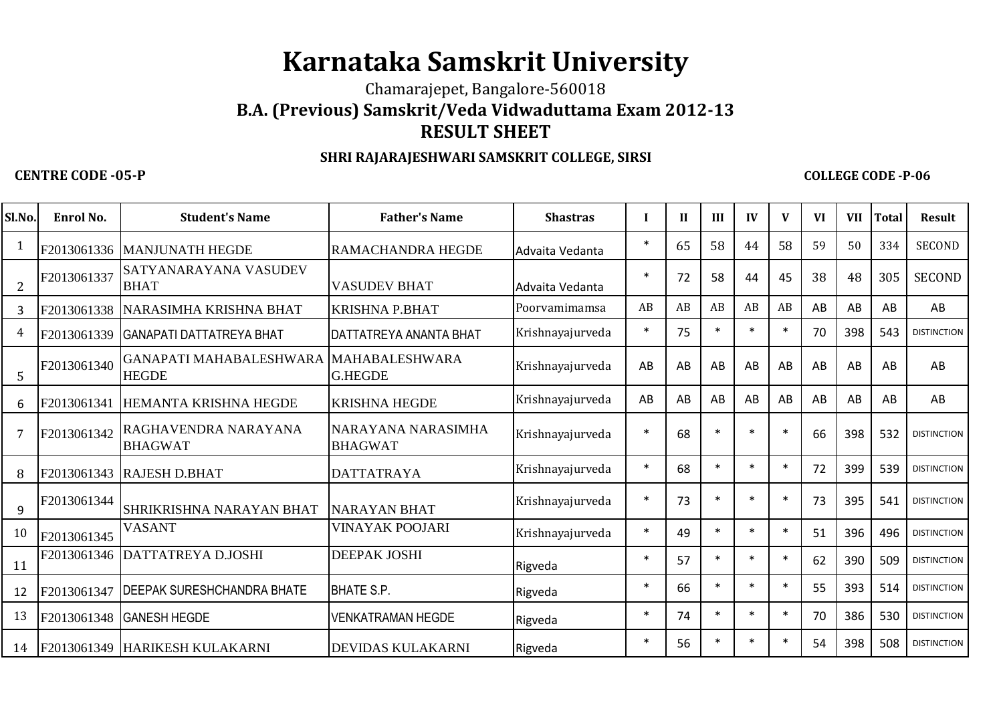## **Karnataka Samskrit University**

Chamarajepet, Bangalore-560018

**B.A. (Previous) Samskrit/Veda Vidwaduttama Exam 2012-13**

## **RESULT SHEET**

## **SHRI RAJARAJESHWARI SAMSKRIT COLLEGE, SIRSI**

## **CENTRE CODE -05-P**

**COLLEGE CODE -P-06**

| Sl.No.         | Enrol No.   | <b>Student's Name</b>                   | <b>Father's Name</b>                    | <b>Shastras</b>  |         | $\mathbf{I}$ | III    | IV        | $\mathbf{V}$ | <b>VI</b> | <b>VII</b> | <b>Total</b> | <b>Result</b>      |
|----------------|-------------|-----------------------------------------|-----------------------------------------|------------------|---------|--------------|--------|-----------|--------------|-----------|------------|--------------|--------------------|
| 1              |             | F2013061336 MANJUNATH HEGDE             | <b>RAMACHANDRA HEGDE</b>                | Advaita Vedanta  | $\ast$  | 65           | 58     | 44        | 58           | 59        | 50         | 334          | <b>SECOND</b>      |
| $\overline{2}$ | F2013061337 | SATYANARAYANA VASUDEV<br><b>BHAT</b>    | <b>VASUDEV BHAT</b>                     | Advaita Vedanta  | $\star$ | 72           | 58     | 44        | 45           | 38        | 48         | 305          | <b>SECOND</b>      |
| 3              | F2013061338 | NARASIMHA KRISHNA BHAT                  | <b>KRISHNA P.BHAT</b>                   | Poorvamimamsa    | AB      | AB           | AB     | AB        | AB           | AB        | AB         | AB           | AB                 |
| 4              | F2013061339 | <b>GANAPATI DATTATREYA BHAT</b>         | DATTATREYA ANANTA BHAT                  | Krishnayajurveda | $\ast$  | 75           | $\ast$ | $\ast$    | $\ast$       | 70        | 398        | 543          | <b>DISTINCTION</b> |
| 5              | F2013061340 | GANAPATI MAHABALESHWARA<br><b>HEGDE</b> | <b>MAHABALESHWARA</b><br><b>G.HEGDE</b> | Krishnayajurveda | AB      | AB           | AB     | AB        | AB           | AB        | AB         | AB           | AB                 |
| 6              | F2013061341 | HEMANTA KRISHNA HEGDE                   | <b>KRISHNA HEGDE</b>                    | Krishnayajurveda | AB      | AB           | AB     | AB        | AB           | AB        | AB         | AB           | AB                 |
| 7              | F2013061342 | RAGHAVENDRA NARAYANA<br><b>BHAGWAT</b>  | NARAYANA NARASIMHA<br><b>BHAGWAT</b>    | Krishnayajurveda | $\ast$  | 68           | $\ast$ | <b>sk</b> | $\ast$       | 66        | 398        | 532          | <b>DISTINCTION</b> |
| 8              | F2013061343 | <b>RAJESH D.BHAT</b>                    | <b>DATTATRAYA</b>                       | Krishnayajurveda | $\ast$  | 68           | $\ast$ | $\ast$    | $\ast$       | 72        | 399        | 539          | <b>DISTINCTION</b> |
| 9              | F2013061344 | SHRIKRISHNA NARAYAN BHAT                | <b>NARAYAN BHAT</b>                     | Krishnayajurveda | $\ast$  | 73           | $\ast$ | $\ast$    | $\ast$       | 73        | 395        | 541          | <b>DISTINCTION</b> |
| 10             | F2013061345 | <b>VASANT</b>                           | <b>VINAYAK POOJARI</b>                  | Krishnayajurveda | $\ast$  | 49           | $\ast$ | $\ast$    | $\ast$       | 51        | 396        | 496          | <b>DISTINCTION</b> |
| 11             | F2013061346 | DATTATREYA D.JOSHI                      | <b>DEEPAK JOSHI</b>                     | Rigveda          | 水       | 57           | $\ast$ | $\ast$    | $\ast$       | 62        | 390        | 509          | <b>DISTINCTION</b> |
| 12             | F2013061347 | <b>DEEPAK SURESHCHANDRA BHATE</b>       | <b>BHATE S.P.</b>                       | Rigveda          | $\ast$  | 66           | $\ast$ | $\ast$    | $\ast$       | 55        | 393        | 514          | <b>DISTINCTION</b> |
| 13             | F2013061348 | <b>GANESH HEGDE</b>                     | <b>VENKATRAMAN HEGDE</b>                | Rigveda          | $\ast$  | 74           | $\ast$ | $\ast$    | $\ast$       | 70        | 386        | 530          | <b>DISTINCTION</b> |
| 14             |             | F2013061349 HARIKESH KULAKARNI          | <b>DEVIDAS KULAKARNI</b>                | Rigveda          | $\ast$  | 56           | $\ast$ | $\ast$    | $\ast$       | 54        | 398        | 508          | <b>DISTINCTION</b> |